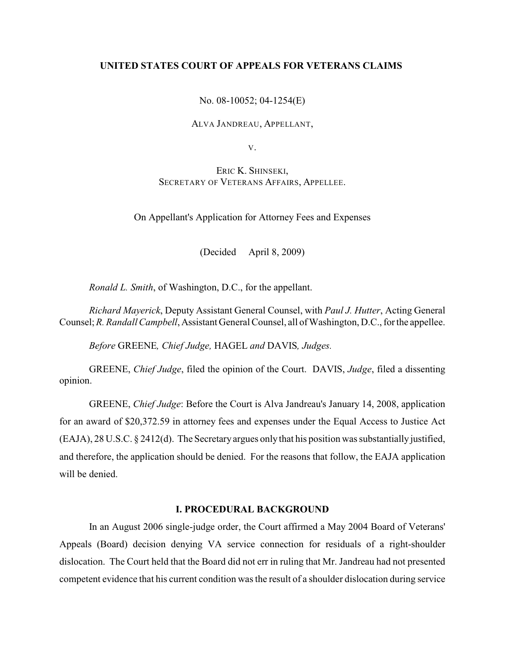## **UNITED STATES COURT OF APPEALS FOR VETERANS CLAIMS**

No. 08-10052; 04-1254(E)

ALVA JANDREAU, APPELLANT,

V.

ERIC K. SHINSEKI, SECRETARY OF VETERANS AFFAIRS, APPELLEE.

On Appellant's Application for Attorney Fees and Expenses

(Decided April 8, 2009)

*Ronald L. Smith*, of Washington, D.C., for the appellant.

*Richard Mayerick*, Deputy Assistant General Counsel, with *Paul J. Hutter*, Acting General Counsel; *R. Randall Campbell*, Assistant General Counsel, all of Washington, D.C., for the appellee.

*Before* GREENE*, Chief Judge,* HAGEL *and* DAVIS*, Judges.*

GREENE, *Chief Judge*, filed the opinion of the Court. DAVIS, *Judge*, filed a dissenting opinion.

GREENE, *Chief Judge*: Before the Court is Alva Jandreau's January 14, 2008, application for an award of \$20,372.59 in attorney fees and expenses under the Equal Access to Justice Act (EAJA), 28 U.S.C. § 2412(d). The Secretary argues only that his position was substantially justified, and therefore, the application should be denied. For the reasons that follow, the EAJA application will be denied.

# **I. PROCEDURAL BACKGROUND**

In an August 2006 single-judge order, the Court affirmed a May 2004 Board of Veterans' Appeals (Board) decision denying VA service connection for residuals of a right-shoulder dislocation. The Court held that the Board did not err in ruling that Mr. Jandreau had not presented competent evidence that his current condition was the result of a shoulder dislocation during service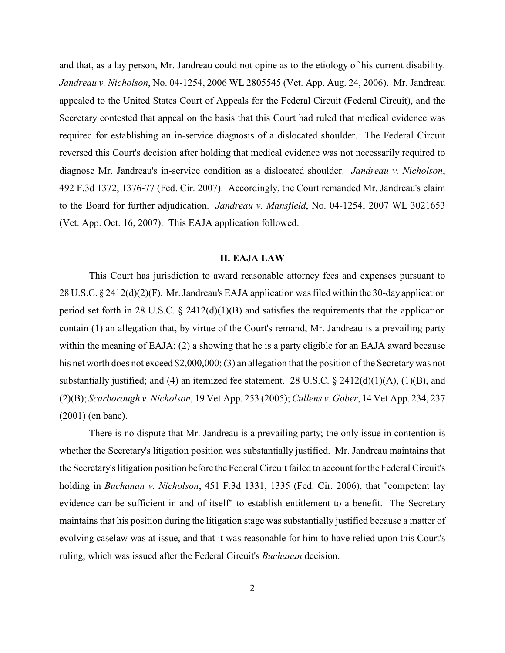and that, as a lay person, Mr. Jandreau could not opine as to the etiology of his current disability. *Jandreau v. Nicholson*, No. 04-1254, 2006 WL 2805545 (Vet. App. Aug. 24, 2006). Mr. Jandreau appealed to the United States Court of Appeals for the Federal Circuit (Federal Circuit), and the Secretary contested that appeal on the basis that this Court had ruled that medical evidence was required for establishing an in-service diagnosis of a dislocated shoulder. The Federal Circuit reversed this Court's decision after holding that medical evidence was not necessarily required to diagnose Mr. Jandreau's in-service condition as a dislocated shoulder. *Jandreau v. Nicholson*, 492 F.3d 1372, 1376-77 (Fed. Cir. 2007). Accordingly, the Court remanded Mr. Jandreau's claim to the Board for further adjudication. *Jandreau v. Mansfield*, No. 04-1254, 2007 WL 3021653 (Vet. App. Oct. 16, 2007). This EAJA application followed.

## **II. EAJA LAW**

This Court has jurisdiction to award reasonable attorney fees and expenses pursuant to 28 U.S.C. § 2412(d)(2)(F). Mr. Jandreau's EAJA application was filed within the 30-day application period set forth in 28 U.S.C.  $\S$  2412(d)(1)(B) and satisfies the requirements that the application contain (1) an allegation that, by virtue of the Court's remand, Mr. Jandreau is a prevailing party within the meaning of EAJA; (2) a showing that he is a party eligible for an EAJA award because his net worth does not exceed \$2,000,000; (3) an allegation that the position of the Secretary was not substantially justified; and (4) an itemized fee statement. 28 U.S.C.  $\S$  2412(d)(1)(A), (1)(B), and (2)(B); *Scarborough v. Nicholson*, 19 Vet.App. 253 (2005); *Cullens v. Gober*, 14 Vet.App. 234, 237 (2001) (en banc).

There is no dispute that Mr. Jandreau is a prevailing party; the only issue in contention is whether the Secretary's litigation position was substantially justified. Mr. Jandreau maintains that the Secretary's litigation position before the Federal Circuit failed to account for the Federal Circuit's holding in *Buchanan v. Nicholson*, 451 F.3d 1331, 1335 (Fed. Cir. 2006), that "competent lay evidence can be sufficient in and of itself" to establish entitlement to a benefit. The Secretary maintains that his position during the litigation stage was substantially justified because a matter of evolving caselaw was at issue, and that it was reasonable for him to have relied upon this Court's ruling, which was issued after the Federal Circuit's *Buchanan* decision.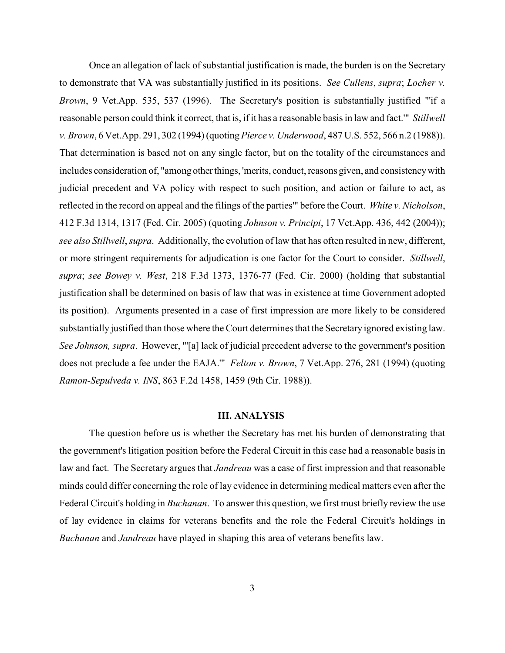Once an allegation of lack of substantial justification is made, the burden is on the Secretary to demonstrate that VA was substantially justified in its positions. *See Cullens*, *supra*; *Locher v. Brown*, 9 Vet.App. 535, 537 (1996). The Secretary's position is substantially justified "'if a reasonable person could think it correct, that is, if it has a reasonable basis in law and fact.'" *Stillwell v. Brown*, 6 Vet.App. 291, 302 (1994) (quoting*Pierce v. Underwood*, 487 U.S. 552, 566 n.2 (1988)). That determination is based not on any single factor, but on the totality of the circumstances and includes consideration of, "among other things, 'merits, conduct, reasons given, and consistency with judicial precedent and VA policy with respect to such position, and action or failure to act, as reflected in the record on appeal and the filings of the parties'" before the Court. *White v. Nicholson*, 412 F.3d 1314, 1317 (Fed. Cir. 2005) (quoting *Johnson v. Principi*, 17 Vet.App. 436, 442 (2004)); *see also Stillwell*, *supra*. Additionally, the evolution of law that has often resulted in new, different, or more stringent requirements for adjudication is one factor for the Court to consider. *Stillwell*, *supra*; *see Bowey v. West*, 218 F.3d 1373, 1376-77 (Fed. Cir. 2000) (holding that substantial justification shall be determined on basis of law that was in existence at time Government adopted its position). Arguments presented in a case of first impression are more likely to be considered substantially justified than those where the Court determines that the Secretary ignored existing law. *See Johnson, supra*. However, "'[a] lack of judicial precedent adverse to the government's position does not preclude a fee under the EAJA.'" *Felton v. Brown*, 7 Vet.App. 276, 281 (1994) (quoting *Ramon-Sepulveda v. INS*, 863 F.2d 1458, 1459 (9th Cir. 1988)).

#### **III. ANALYSIS**

The question before us is whether the Secretary has met his burden of demonstrating that the government's litigation position before the Federal Circuit in this case had a reasonable basis in law and fact. The Secretary argues that *Jandreau* was a case of first impression and that reasonable minds could differ concerning the role of lay evidence in determining medical matters even after the Federal Circuit's holding in *Buchanan*. To answer this question, we first must briefly review the use of lay evidence in claims for veterans benefits and the role the Federal Circuit's holdings in *Buchanan* and *Jandreau* have played in shaping this area of veterans benefits law.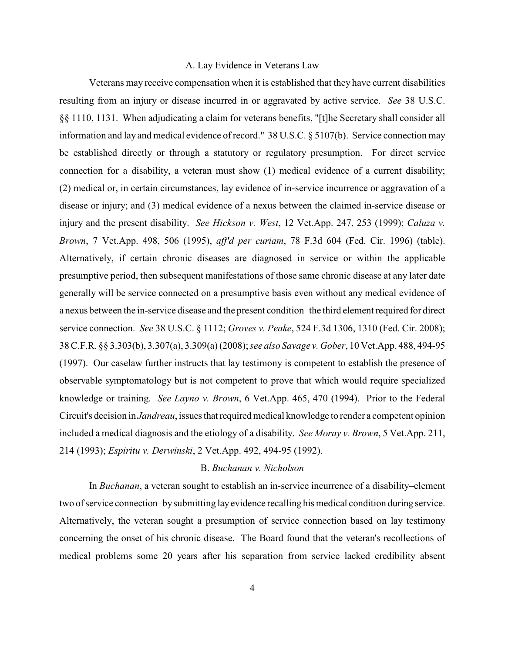#### A. Lay Evidence in Veterans Law

Veterans may receive compensation when it is established that they have current disabilities resulting from an injury or disease incurred in or aggravated by active service. *See* 38 U.S.C. §§ 1110, 1131. When adjudicating a claim for veterans benefits, "[t]he Secretary shall consider all information and lay and medical evidence of record." 38 U.S.C. § 5107(b). Service connection may be established directly or through a statutory or regulatory presumption. For direct service connection for a disability, a veteran must show (1) medical evidence of a current disability; (2) medical or, in certain circumstances, lay evidence of in-service incurrence or aggravation of a disease or injury; and (3) medical evidence of a nexus between the claimed in-service disease or injury and the present disability. *See Hickson v. West*, 12 Vet.App. 247, 253 (1999); *Caluza v. Brown*, 7 Vet.App. 498, 506 (1995), *aff'd per curiam*, 78 F.3d 604 (Fed. Cir. 1996) (table). Alternatively, if certain chronic diseases are diagnosed in service or within the applicable presumptive period, then subsequent manifestations of those same chronic disease at any later date generally will be service connected on a presumptive basis even without any medical evidence of a nexus between the in-service disease and the present condition–the third element required for direct service connection. *See* 38 U.S.C. § 1112; *Groves v. Peake*, 524 F.3d 1306, 1310 (Fed. Cir. 2008); 38C.F.R. §§ 3.303(b), 3.307(a), 3.309(a) (2008);*see also Savage v. Gober*, 10 Vet.App. 488, 494-95 (1997). Our caselaw further instructs that lay testimony is competent to establish the presence of observable symptomatology but is not competent to prove that which would require specialized knowledge or training. *See Layno v. Brown*, 6 Vet.App. 465, 470 (1994). Prior to the Federal Circuit's decision in *Jandreau*, issues that required medical knowledge to render a competent opinion included a medical diagnosis and the etiology of a disability. *See Moray v. Brown*, 5 Vet.App. 211, 214 (1993); *Espiritu v. Derwinski*, 2 Vet.App. 492, 494-95 (1992).

## B. *Buchanan v. Nicholson*

In *Buchanan*, a veteran sought to establish an in-service incurrence of a disability–element two of service connection–by submitting lay evidence recalling his medical condition during service. Alternatively, the veteran sought a presumption of service connection based on lay testimony concerning the onset of his chronic disease. The Board found that the veteran's recollections of medical problems some 20 years after his separation from service lacked credibility absent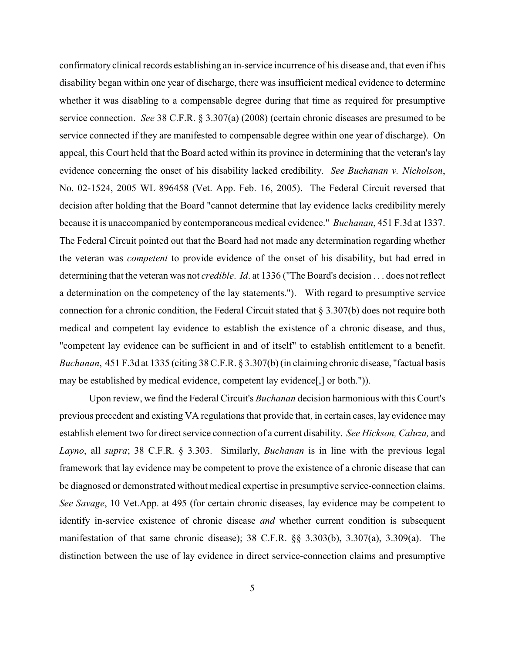confirmatory clinical records establishing an in-service incurrence of his disease and, that even if his disability began within one year of discharge, there was insufficient medical evidence to determine whether it was disabling to a compensable degree during that time as required for presumptive service connection. *See* 38 C.F.R. § 3.307(a) (2008) (certain chronic diseases are presumed to be service connected if they are manifested to compensable degree within one year of discharge). On appeal, this Court held that the Board acted within its province in determining that the veteran's lay evidence concerning the onset of his disability lacked credibility. *See Buchanan v. Nicholson*, No. 02-1524, 2005 WL 896458 (Vet. App. Feb. 16, 2005). The Federal Circuit reversed that decision after holding that the Board "cannot determine that lay evidence lacks credibility merely because it is unaccompanied by contemporaneous medical evidence." *Buchanan*, 451 F.3d at 1337. The Federal Circuit pointed out that the Board had not made any determination regarding whether the veteran was *competent* to provide evidence of the onset of his disability, but had erred in determining that the veteran was not *credible*. *Id*. at 1336 ("The Board's decision . . . does not reflect a determination on the competency of the lay statements."). With regard to presumptive service connection for a chronic condition, the Federal Circuit stated that § 3.307(b) does not require both medical and competent lay evidence to establish the existence of a chronic disease, and thus, "competent lay evidence can be sufficient in and of itself" to establish entitlement to a benefit. *Buchanan*, 451 F.3d at 1335 (citing 38C.F.R. § 3.307(b) (in claiming chronic disease, "factual basis may be established by medical evidence, competent lay evidence[,] or both.")).

Upon review, we find the Federal Circuit's *Buchanan* decision harmonious with this Court's previous precedent and existing VA regulations that provide that, in certain cases, lay evidence may establish element two for direct service connection of a current disability. *See Hickson, Caluza,* and *Layno*, all *supra*; 38 C.F.R. § 3.303. Similarly, *Buchanan* is in line with the previous legal framework that lay evidence may be competent to prove the existence of a chronic disease that can be diagnosed or demonstrated without medical expertise in presumptive service-connection claims. *See Savage*, 10 Vet.App. at 495 (for certain chronic diseases, lay evidence may be competent to identify in-service existence of chronic disease *and* whether current condition is subsequent manifestation of that same chronic disease); 38 C.F.R. §§ 3.303(b), 3.307(a), 3.309(a). The distinction between the use of lay evidence in direct service-connection claims and presumptive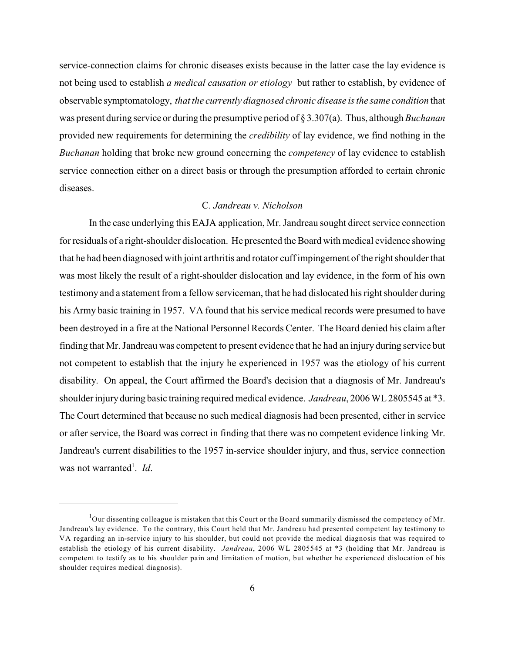service-connection claims for chronic diseases exists because in the latter case the lay evidence is not being used to establish *a medical causation or etiology* but rather to establish, by evidence of observable symptomatology, *that the currently diagnosed chronic disease is the same condition* that was present during service or during the presumptive period of § 3.307(a). Thus, although *Buchanan* provided new requirements for determining the *credibility* of lay evidence, we find nothing in the *Buchanan* holding that broke new ground concerning the *competency* of lay evidence to establish service connection either on a direct basis or through the presumption afforded to certain chronic diseases.

# C. *Jandreau v. Nicholson*

In the case underlying this EAJA application, Mr. Jandreau sought direct service connection for residuals of a right-shoulder dislocation. He presented the Board with medical evidence showing that he had been diagnosed with joint arthritis and rotator cuff impingement of the right shoulder that was most likely the result of a right-shoulder dislocation and lay evidence, in the form of his own testimony and a statement from a fellow serviceman, that he had dislocated his right shoulder during his Army basic training in 1957. VA found that his service medical records were presumed to have been destroyed in a fire at the National Personnel Records Center. The Board denied his claim after finding that Mr. Jandreau was competent to present evidence that he had an injury during service but not competent to establish that the injury he experienced in 1957 was the etiology of his current disability. On appeal, the Court affirmed the Board's decision that a diagnosis of Mr. Jandreau's shoulder injuryduring basic training required medical evidence. *Jandreau*, 2006 WL 2805545 at \*3. The Court determined that because no such medical diagnosis had been presented, either in service or after service, the Board was correct in finding that there was no competent evidence linking Mr. Jandreau's current disabilities to the 1957 in-service shoulder injury, and thus, service connection was not warranted<sup>1</sup>. Id.

 $1$ Our dissenting colleague is mistaken that this Court or the Board summarily dismissed the competency of Mr. Jandreau's lay evidence. To the contrary, this Court held that Mr. Jandreau had presented competent lay testimony to VA regarding an in-service injury to his shoulder, but could not provide the medical diagnosis that was required to establish the etiology of his current disability. *Jandreau*, 2006 WL 2805545 at \*3 (holding that Mr. Jandreau is competent to testify as to his shoulder pain and limitation of motion, but whether he experienced dislocation of his shoulder requires medical diagnosis).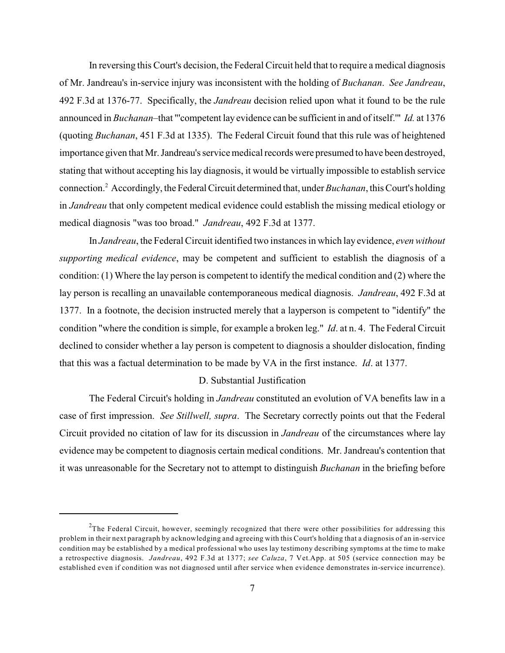In reversing this Court's decision, the Federal Circuit held that to require a medical diagnosis of Mr. Jandreau's in-service injury was inconsistent with the holding of *Buchanan*. *See Jandreau*, 492 F.3d at 1376-77. Specifically, the *Jandreau* decision relied upon what it found to be the rule announced in *Buchanan*–that "'competent lay evidence can be sufficient in and of itself.'" *Id.* at 1376 (quoting *Buchanan*, 451 F.3d at 1335). The Federal Circuit found that this rule was of heightened importance given that Mr. Jandreau's service medical records were presumed to have been destroyed, stating that without accepting his lay diagnosis, it would be virtually impossible to establish service connection.<sup>2</sup> Accordingly, the Federal Circuit determined that, under *Buchanan*, this Court's holding in *Jandreau* that only competent medical evidence could establish the missing medical etiology or medical diagnosis "was too broad." *Jandreau*, 492 F.3d at 1377.

In *Jandreau*, the Federal Circuit identified two instances in which lay evidence, *even without supporting medical evidence*, may be competent and sufficient to establish the diagnosis of a condition: (1) Where the lay person is competent to identify the medical condition and (2) where the lay person is recalling an unavailable contemporaneous medical diagnosis. *Jandreau*, 492 F.3d at 1377. In a footnote, the decision instructed merely that a layperson is competent to "identify" the condition "where the condition is simple, for example a broken leg." *Id*. at n. 4. The Federal Circuit declined to consider whether a lay person is competent to diagnosis a shoulder dislocation, finding that this was a factual determination to be made by VA in the first instance. *Id*. at 1377.

## D. Substantial Justification

The Federal Circuit's holding in *Jandreau* constituted an evolution of VA benefits law in a case of first impression. *See Stillwell, supra*. The Secretary correctly points out that the Federal Circuit provided no citation of law for its discussion in *Jandreau* of the circumstances where lay evidence may be competent to diagnosis certain medical conditions. Mr. Jandreau's contention that it was unreasonable for the Secretary not to attempt to distinguish *Buchanan* in the briefing before

 $2$ The Federal Circuit, however, seemingly recognized that there were other possibilities for addressing this problem in their next paragraph by acknowledging and agreeing with this Court's holding that a diagnosis of an in-service condition may be established by a medical professional who uses lay testimony describing symptoms at the time to make a retrospective diagnosis. *Jandreau*, 492 F.3d at 1377; *see Caluza*, 7 Vet.App. at 505 (service connection may be established even if condition was not diagnosed until after service when evidence demonstrates in-service incurrence).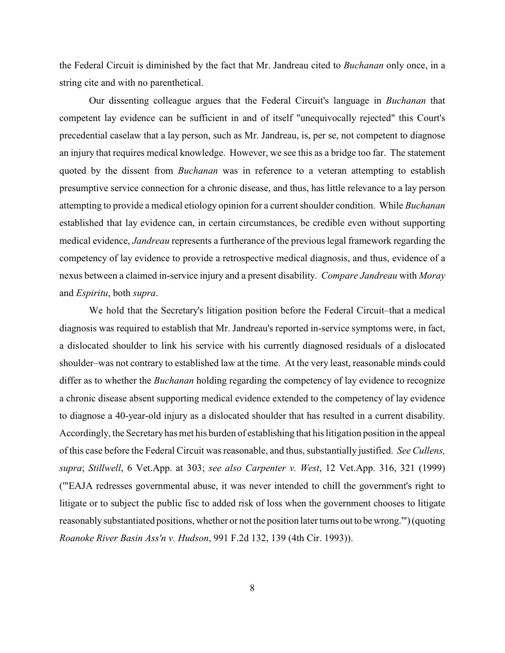the Federal Circuit is diminished by the fact that Mr. Jandreau cited to *Buchanan* only once, in a string cite and with no parenthetical.

Our dissenting colleague argues that the Federal Circuit's language in *Buchanan* that competent lay evidence can be sufficient in and of itself "unequivocally rejected" this Court's precedential caselaw that a lay person, such as Mr. Jandreau, is, per se, not competent to diagnose an injury that requires medical knowledge. However, we see this as a bridge too far. The statement quoted by the dissent from *Buchanan* was in reference to a veteran attempting to establish presumptive service connection for a chronic disease, and thus, has little relevance to a lay person attempting to provide a medical etiology opinion for a current shoulder condition. While *Buchanan* established that lay evidence can, in certain circumstances, be credible even without supporting medical evidence, *Jandreau* represents a furtherance of the previous legal framework regarding the competency of lay evidence to provide a retrospective medical diagnosis, and thus, evidence of a nexus between a claimed in-service injury and a present disability. *Compare Jandreau* with *Moray* and *Espiritu*, both *supra*.

We hold that the Secretary's litigation position before the Federal Circuit–that a medical diagnosis was required to establish that Mr. Jandreau's reported in-service symptoms were, in fact, a dislocated shoulder to link his service with his currently diagnosed residuals of a dislocated shoulder–was not contrary to established law at the time. At the very least, reasonable minds could differ as to whether the *Buchanan* holding regarding the competency of lay evidence to recognize a chronic disease absent supporting medical evidence extended to the competency of lay evidence to diagnose a 40-year-old injury as a dislocated shoulder that has resulted in a current disability. Accordingly, the Secretaryhas met his burden of establishing that his litigation position in the appeal of this case before the Federal Circuit was reasonable, and thus, substantially justified. *See Cullens, supra*; *Stillwell*, 6 Vet.App. at 303; *see also Carpenter v. West*, 12 Vet.App. 316, 321 (1999) ('"EAJA redresses governmental abuse, it was never intended to chill the government's right to litigate or to subject the public fisc to added risk of loss when the government chooses to litigate reasonably substantiated positions, whether or not the position later turns out to be wrong.'") (quoting *Roanoke River Basin Ass'n v. Hudson*, 991 F.2d 132, 139 (4th Cir. 1993)).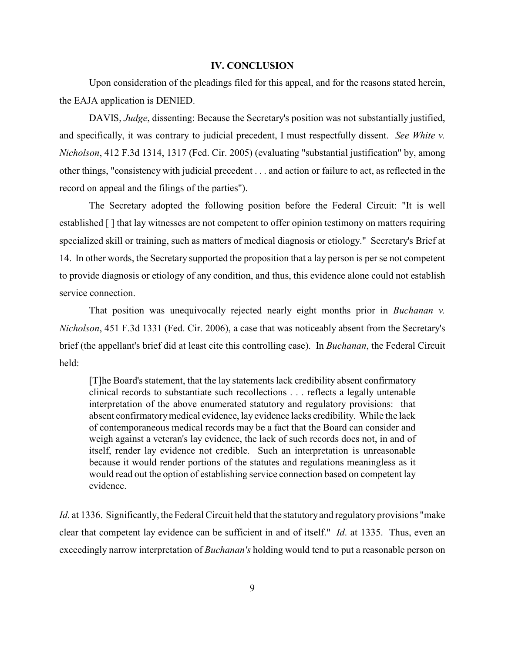## **IV. CONCLUSION**

Upon consideration of the pleadings filed for this appeal, and for the reasons stated herein, the EAJA application is DENIED.

DAVIS, *Judge*, dissenting: Because the Secretary's position was not substantially justified, and specifically, it was contrary to judicial precedent, I must respectfully dissent. *See White v. Nicholson*, 412 F.3d 1314, 1317 (Fed. Cir. 2005) (evaluating "substantial justification" by, among other things, "consistency with judicial precedent . . . and action or failure to act, as reflected in the record on appeal and the filings of the parties").

The Secretary adopted the following position before the Federal Circuit: "It is well established [ ] that lay witnesses are not competent to offer opinion testimony on matters requiring specialized skill or training, such as matters of medical diagnosis or etiology." Secretary's Brief at 14. In other words, the Secretary supported the proposition that a lay person is per se not competent to provide diagnosis or etiology of any condition, and thus, this evidence alone could not establish service connection.

That position was unequivocally rejected nearly eight months prior in *Buchanan v. Nicholson*, 451 F.3d 1331 (Fed. Cir. 2006), a case that was noticeably absent from the Secretary's brief (the appellant's brief did at least cite this controlling case). In *Buchanan*, the Federal Circuit held:

[T]he Board's statement, that the lay statements lack credibility absent confirmatory clinical records to substantiate such recollections . . . reflects a legally untenable interpretation of the above enumerated statutory and regulatory provisions: that absent confirmatory medical evidence, lay evidence lacks credibility. While the lack of contemporaneous medical records may be a fact that the Board can consider and weigh against a veteran's lay evidence, the lack of such records does not, in and of itself, render lay evidence not credible. Such an interpretation is unreasonable because it would render portions of the statutes and regulations meaningless as it would read out the option of establishing service connection based on competent lay evidence.

*Id.* at 1336. Significantly, the Federal Circuit held that the statutory and regulatory provisions "make" clear that competent lay evidence can be sufficient in and of itself." *Id*. at 1335. Thus, even an exceedingly narrow interpretation of *Buchanan's* holding would tend to put a reasonable person on